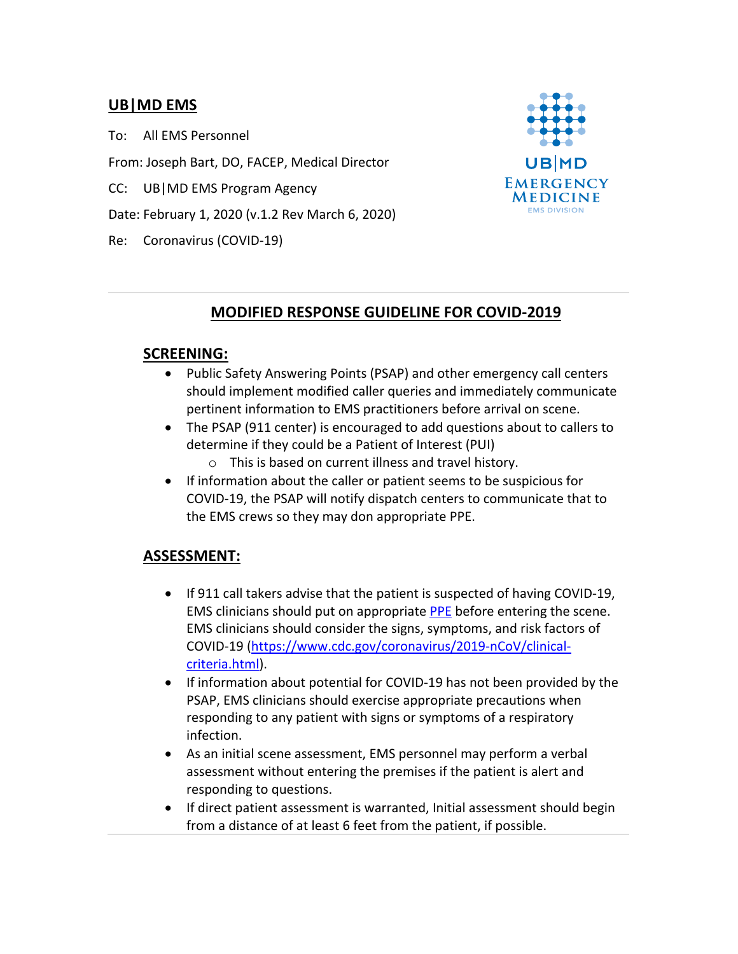## **UB|MD EMS**

To: All EMS Personnel

From: Joseph Bart, DO, FACEP, Medical Director

CC: UB|MD EMS Program Agency

Date: February 1, 2020 (v.1.2 Rev March 6, 2020)

Re: Coronavirus (COVID-19)



# **MODIFIED RESPONSE GUIDELINE FOR COVID-2019**

#### **SCREENING:**

- Public Safety Answering Points (PSAP) and other emergency call centers should implement modified caller queries and immediately communicate pertinent information to EMS practitioners before arrival on scene.
- The PSAP (911 center) is encouraged to add questions about to callers to determine if they could be a Patient of Interest (PUI)
	- o This is based on current illness and travel history.
- If information about the caller or patient seems to be suspicious for COVID-19, the PSAP will notify dispatch centers to communicate that to the EMS crews so they may don appropriate PPE.

## **ASSESSMENT:**

- If 911 call takers advise that the patient is suspected of having COVID-19, EMS clinicians should put on appropriate PPE before entering the scene. EMS clinicians should consider the signs, symptoms, and risk factors of COVID-19 (https://www.cdc.gov/coronavirus/2019-nCoV/clinicalcriteria.html).
- If information about potential for COVID-19 has not been provided by the PSAP, EMS clinicians should exercise appropriate precautions when responding to any patient with signs or symptoms of a respiratory infection.
- As an initial scene assessment, EMS personnel may perform a verbal assessment without entering the premises if the patient is alert and responding to questions.
- If direct patient assessment is warranted, Initial assessment should begin from a distance of at least 6 feet from the patient, if possible.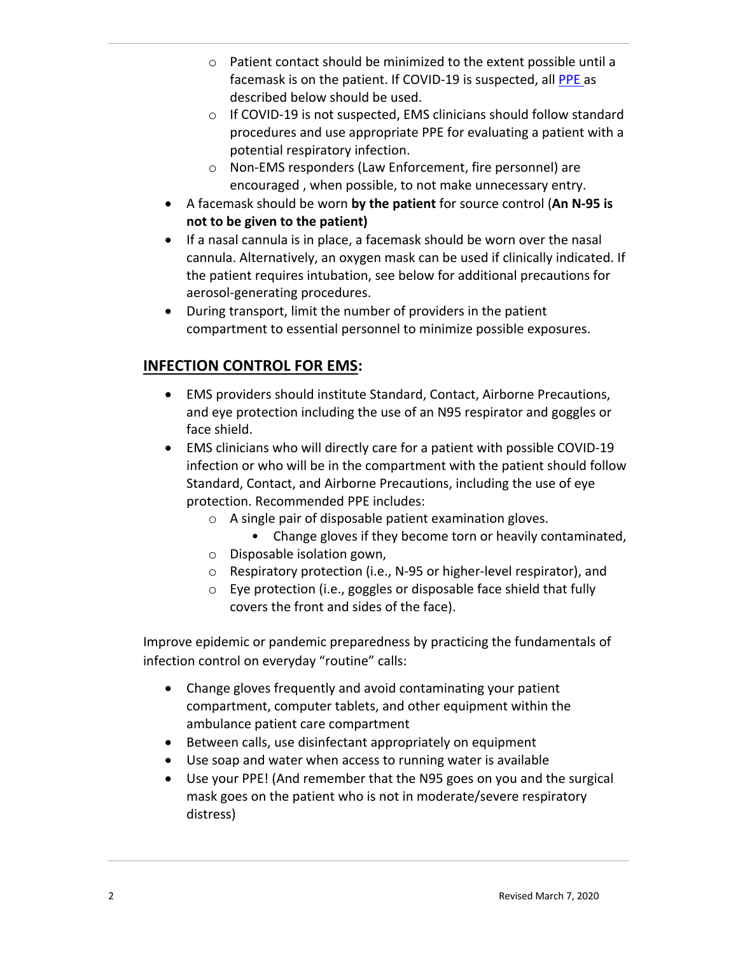- o Patient contact should be minimized to the extent possible until a facemask is on the patient. If COVID-19 is suspected, all PPE as described below should be used.
- o If COVID-19 is not suspected, EMS clinicians should follow standard procedures and use appropriate PPE for evaluating a patient with a potential respiratory infection.
- o Non-EMS responders (Law Enforcement, fire personnel) are encouraged , when possible, to not make unnecessary entry.
- A facemask should be worn **by the patient** for source control (**An N-95 is not to be given to the patient)**
- If a nasal cannula is in place, a facemask should be worn over the nasal cannula. Alternatively, an oxygen mask can be used if clinically indicated. If the patient requires intubation, see below for additional precautions for aerosol-generating procedures.
- During transport, limit the number of providers in the patient compartment to essential personnel to minimize possible exposures.

# **INFECTION CONTROL FOR EMS:**

- EMS providers should institute Standard, Contact, Airborne Precautions, and eye protection including the use of an N95 respirator and goggles or face shield.
- EMS clinicians who will directly care for a patient with possible COVID-19 infection or who will be in the compartment with the patient should follow Standard, Contact, and Airborne Precautions, including the use of eye protection. Recommended PPE includes:
	- o A single pair of disposable patient examination gloves.
		- Change gloves if they become torn or heavily contaminated,
	- o Disposable isolation gown,
	- o Respiratory protection (i.e., N-95 or higher-level respirator), and
	- o Eye protection (i.e., goggles or disposable face shield that fully covers the front and sides of the face).

Improve epidemic or pandemic preparedness by practicing the fundamentals of infection control on everyday "routine" calls:

- Change gloves frequently and avoid contaminating your patient compartment, computer tablets, and other equipment within the ambulance patient care compartment
- Between calls, use disinfectant appropriately on equipment
- Use soap and water when access to running water is available
- Use your PPE! (And remember that the N95 goes on you and the surgical mask goes on the patient who is not in moderate/severe respiratory distress)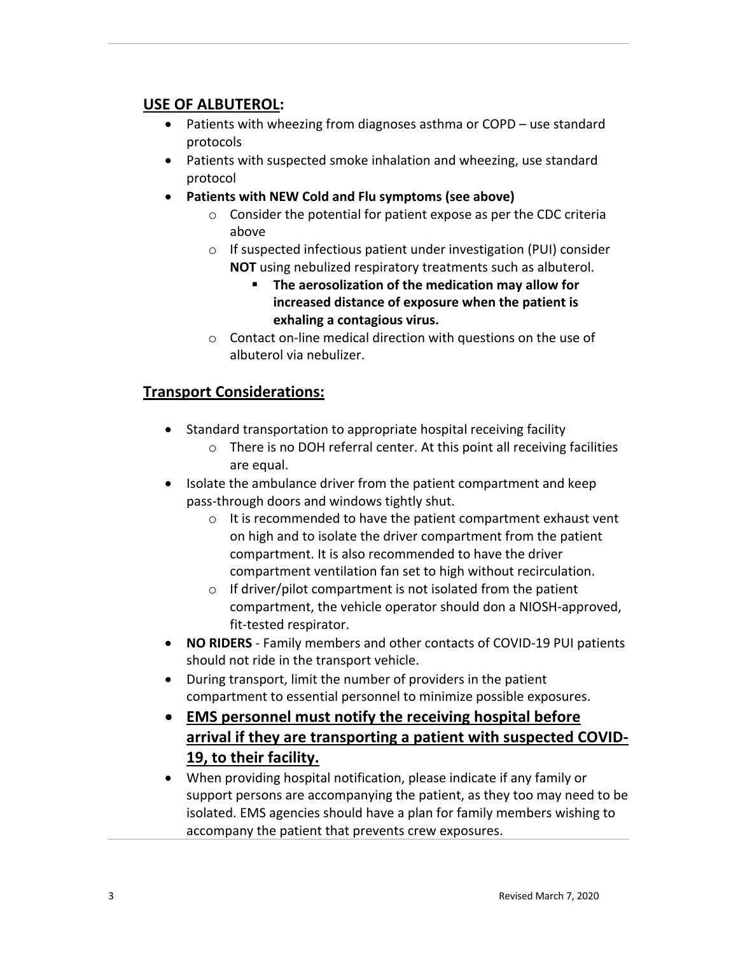## **USE OF ALBUTEROL:**

- Patients with wheezing from diagnoses asthma or COPD use standard protocols
- Patients with suspected smoke inhalation and wheezing, use standard protocol
- **Patients with NEW Cold and Flu symptoms (see above)**
	- o Consider the potential for patient expose as per the CDC criteria above
	- o If suspected infectious patient under investigation (PUI) consider **NOT** using nebulized respiratory treatments such as albuterol.
		- § **The aerosolization of the medication may allow for increased distance of exposure when the patient is exhaling a contagious virus.**
	- o Contact on-line medical direction with questions on the use of albuterol via nebulizer.

# **Transport Considerations:**

- Standard transportation to appropriate hospital receiving facility
	- o There is no DOH referral center. At this point all receiving facilities are equal.
- Isolate the ambulance driver from the patient compartment and keep pass-through doors and windows tightly shut.
	- o It is recommended to have the patient compartment exhaust vent on high and to isolate the driver compartment from the patient compartment. It is also recommended to have the driver compartment ventilation fan set to high without recirculation.
	- $\circ$  If driver/pilot compartment is not isolated from the patient compartment, the vehicle operator should don a NIOSH-approved, fit-tested respirator.
- **NO RIDERS** Family members and other contacts of COVID-19 PUI patients should not ride in the transport vehicle.
- During transport, limit the number of providers in the patient compartment to essential personnel to minimize possible exposures.
- **EMS personnel must notify the receiving hospital before arrival if they are transporting a patient with suspected COVID-19, to their facility.**
- When providing hospital notification, please indicate if any family or support persons are accompanying the patient, as they too may need to be isolated. EMS agencies should have a plan for family members wishing to accompany the patient that prevents crew exposures.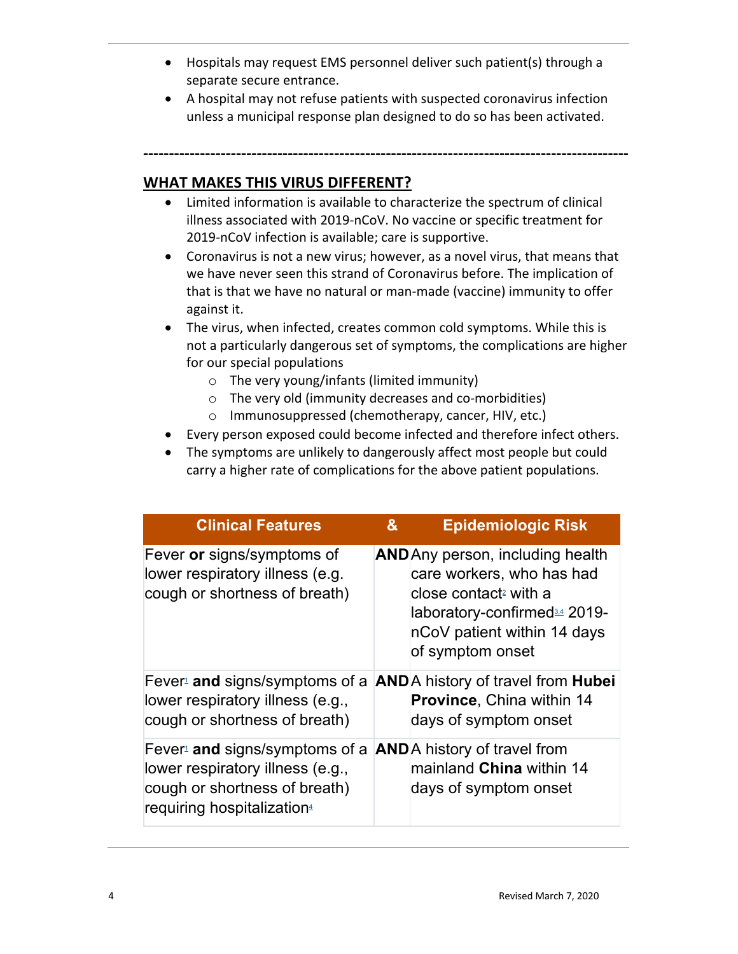- Hospitals may request EMS personnel deliver such patient(s) through a separate secure entrance.
- A hospital may not refuse patients with suspected coronavirus infection unless a municipal response plan designed to do so has been activated.

**----------------------------------------------------------------------------------------------**

### **WHAT MAKES THIS VIRUS DIFFERENT?**

- Limited information is available to characterize the spectrum of clinical illness associated with 2019-nCoV. No vaccine or specific treatment for 2019-nCoV infection is available; care is supportive.
- Coronavirus is not a new virus; however, as a novel virus, that means that we have never seen this strand of Coronavirus before. The implication of that is that we have no natural or man-made (vaccine) immunity to offer against it.
- The virus, when infected, creates common cold symptoms. While this is not a particularly dangerous set of symptoms, the complications are higher for our special populations
	- o The very young/infants (limited immunity)
	- o The very old (immunity decreases and co-morbidities)
	- o Immunosuppressed (chemotherapy, cancer, HIV, etc.)
- Every person exposed could become infected and therefore infect others.
- The symptoms are unlikely to dangerously affect most people but could carry a higher rate of complications for the above patient populations.

| <b>Clinical Features</b>                                                                                                        | & | <b>Epidemiologic Risk</b>                                                                                                                                                                                |
|---------------------------------------------------------------------------------------------------------------------------------|---|----------------------------------------------------------------------------------------------------------------------------------------------------------------------------------------------------------|
| Fever or signs/symptoms of<br>lower respiratory illness (e.g.<br>cough or shortness of breath)                                  |   | <b>AND</b> Any person, including health<br>care workers, who has had<br>close contact <sup>2</sup> with a<br>laboratory-confirmed <sup>34</sup> 2019-<br>nCoV patient within 14 days<br>of symptom onset |
| Fever and signs/symptoms of a<br>lower respiratory illness (e.g.,<br>cough or shortness of breath)                              |   | <b>AND</b> A history of travel from <b>Hubei</b><br><b>Province, China within 14</b><br>days of symptom onset                                                                                            |
| Fever and signs/symptoms of a<br>lower respiratory illness (e.g.,<br>cough or shortness of breath)<br>requiring hospitalization |   | <b>AND</b> A history of travel from<br>mainland China within 14<br>days of symptom onset                                                                                                                 |